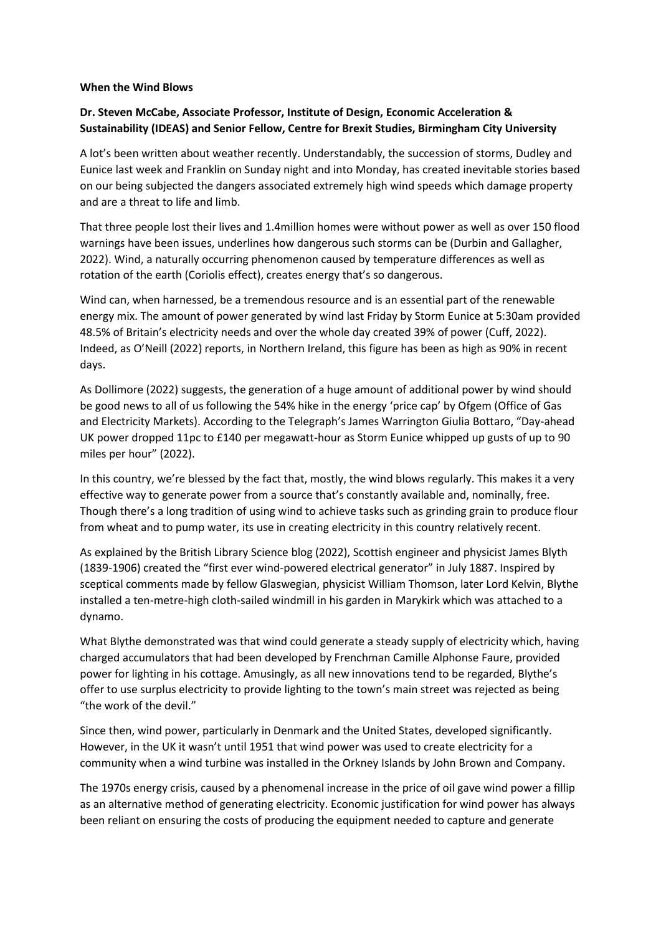## **When the Wind Blows**

## **Dr. Steven McCabe, Associate Professor, Institute of Design, Economic Acceleration & Sustainability (IDEAS) and Senior Fellow, Centre for Brexit Studies, Birmingham City University**

A lot's been written about weather recently. Understandably, the succession of storms, Dudley and Eunice last week and Franklin on Sunday night and into Monday, has created inevitable stories based on our being subjected the dangers associated extremely high wind speeds which damage property and are a threat to life and limb.

That three people lost their lives and 1.4million homes were without power as well as over 150 flood warnings have been issues, underlines how dangerous such storms can be (Durbin and Gallagher, 2022). Wind, a naturally occurring phenomenon caused by temperature differences as well as rotation of the earth (Coriolis effect), creates energy that's so dangerous.

Wind can, when harnessed, be a tremendous resource and is an essential part of the renewable energy mix. The amount of power generated by wind last Friday by Storm Eunice at 5:30am provided 48.5% of Britain's electricity needs and over the whole day created 39% of power (Cuff, 2022). Indeed, as O'Neill (2022) reports, in Northern Ireland, this figure has been as high as 90% in recent days.

As Dollimore (2022) suggests, the generation of a huge amount of additional power by wind should be good news to all of us following the 54% hike in the energy 'price cap' by Ofgem (Office of Gas and Electricity Markets). According to the Telegraph's James Warrington Giulia Bottaro, "Day-ahead UK power dropped 11pc to £140 per megawatt-hour as Storm Eunice whipped up gusts of up to 90 miles per hour" (2022).

In this country, we're blessed by the fact that, mostly, the wind blows regularly. This makes it a very effective way to generate power from a source that's constantly available and, nominally, free. Though there's a long tradition of using wind to achieve tasks such as grinding grain to produce flour from wheat and to pump water, its use in creating electricity in this country relatively recent.

As explained by the British Library Science blog (2022), Scottish engineer and physicist James Blyth (1839-1906) created the "first ever wind-powered electrical generator" in July 1887. Inspired by sceptical comments made by fellow Glaswegian, physicist William Thomson, later Lord Kelvin, Blythe installed a ten-metre-high cloth-sailed windmill in his garden in Marykirk which was attached to a dynamo.

What Blythe demonstrated was that wind could generate a steady supply of electricity which, having charged accumulators that had been developed by Frenchman Camille Alphonse Faure, provided power for lighting in his cottage. Amusingly, as all new innovations tend to be regarded, Blythe's offer to use surplus electricity to provide lighting to the town's main street was rejected as being "the work of the devil."

Since then, wind power, particularly in Denmark and the United States, developed significantly. However, in the UK it wasn't until 1951 that wind power was used to create electricity for a community when a wind turbine was installed in the Orkney Islands by John Brown and Company.

The 1970s energy crisis, caused by a phenomenal increase in the price of oil gave wind power a fillip as an alternative method of generating electricity. Economic justification for wind power has always been reliant on ensuring the costs of producing the equipment needed to capture and generate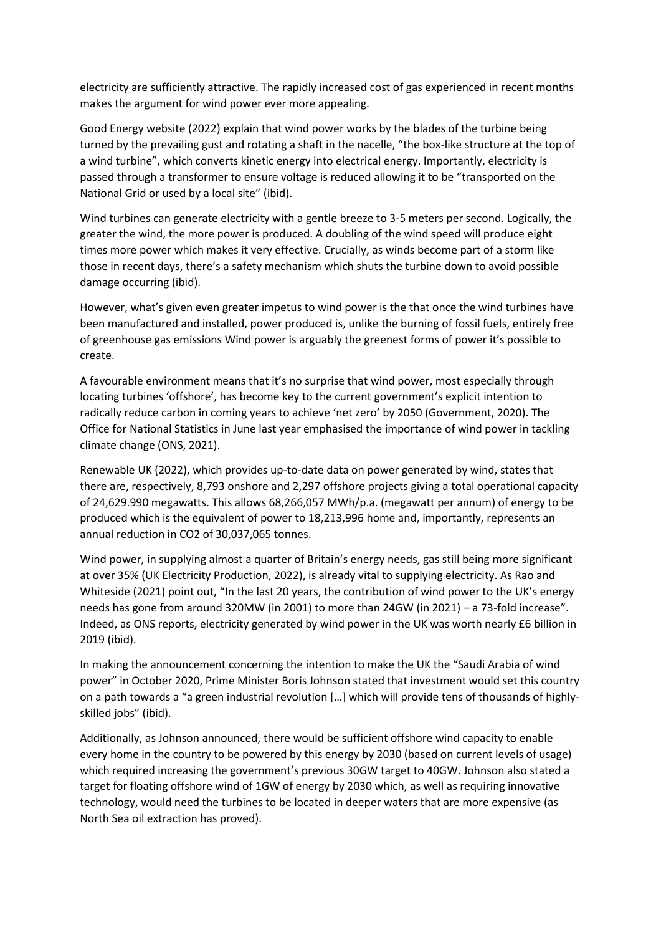electricity are sufficiently attractive. The rapidly increased cost of gas experienced in recent months makes the argument for wind power ever more appealing.

Good Energy website (2022) explain that wind power works by the blades of the turbine being turned by the prevailing gust and rotating a shaft in the nacelle, "the box-like structure at the top of a wind turbine", which converts kinetic energy into electrical energy. Importantly, electricity is passed through a transformer to ensure voltage is reduced allowing it to be "transported on the National Grid or used by a local site" (ibid).

Wind turbines can generate electricity with a gentle breeze to 3-5 meters per second. Logically, the greater the wind, the more power is produced. A doubling of the wind speed will produce eight times more power which makes it very effective. Crucially, as winds become part of a storm like those in recent days, there's a safety mechanism which shuts the turbine down to avoid possible damage occurring (ibid).

However, what's given even greater impetus to wind power is the that once the wind turbines have been manufactured and installed, power produced is, unlike the burning of fossil fuels, entirely free of greenhouse gas emissions Wind power is arguably the greenest forms of power it's possible to create.

A favourable environment means that it's no surprise that wind power, most especially through locating turbines 'offshore', has become key to the current government's explicit intention to radically reduce carbon in coming years to achieve 'net zero' by 2050 (Government, 2020). The Office for National Statistics in June last year emphasised the importance of wind power in tackling climate change (ONS, 2021).

Renewable UK (2022), which provides up-to-date data on power generated by wind, states that there are, respectively, 8,793 onshore and 2,297 offshore projects giving a total operational capacity of 24,629.990 megawatts. This allows 68,266,057 MWh/p.a. (megawatt per annum) of energy to be produced which is the equivalent of power to 18,213,996 home and, importantly, represents an annual reduction in CO2 of 30,037,065 tonnes.

Wind power, in supplying almost a quarter of Britain's energy needs, gas still being more significant at over 35% (UK Electricity Production, 2022), is already vital to supplying electricity. As Rao and Whiteside (2021) point out, "In the last 20 years, the contribution of wind power to the UK's energy needs has gone from around 320MW (in 2001) to more than 24GW (in 2021) – a 73-fold increase". Indeed, as ONS reports, electricity generated by wind power in the UK was worth nearly £6 billion in 2019 (ibid).

In making the announcement concerning the intention to make the UK the "Saudi Arabia of wind power" in October 2020, Prime Minister Boris Johnson stated that investment would set this country on a path towards a "a green industrial revolution […] which will provide tens of thousands of highlyskilled jobs" (ibid).

Additionally, as Johnson announced, there would be sufficient offshore wind capacity to enable every home in the country to be powered by this energy by 2030 (based on current levels of usage) which required increasing the government's previous 30GW target to 40GW. Johnson also stated a target for floating offshore wind of 1GW of energy by 2030 which, as well as requiring innovative technology, would need the turbines to be located in deeper waters that are more expensive (as North Sea oil extraction has proved).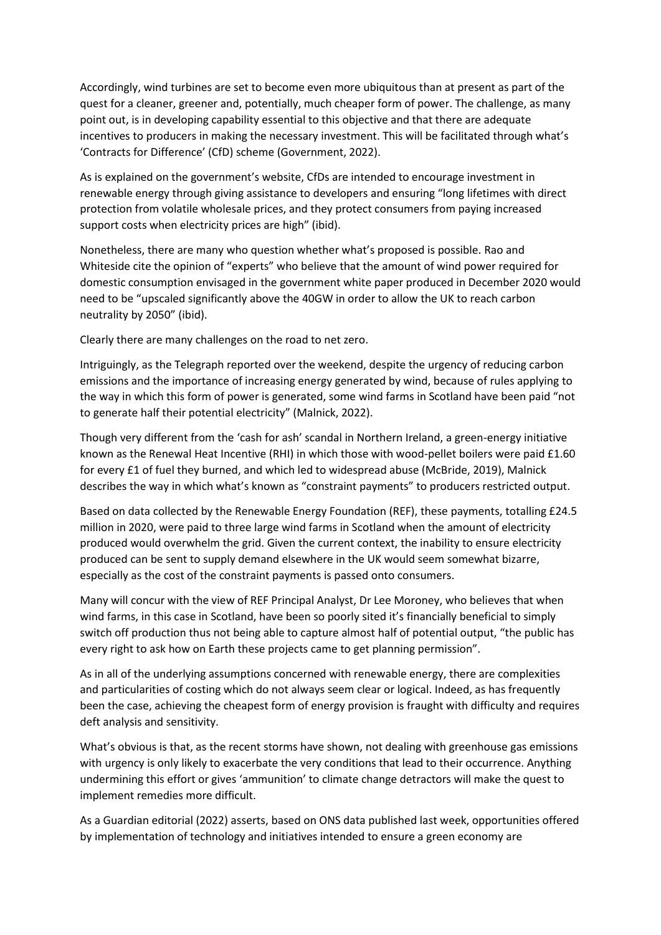Accordingly, wind turbines are set to become even more ubiquitous than at present as part of the quest for a cleaner, greener and, potentially, much cheaper form of power. The challenge, as many point out, is in developing capability essential to this objective and that there are adequate incentives to producers in making the necessary investment. This will be facilitated through what's 'Contracts for Difference' (CfD) scheme (Government, 2022).

As is explained on the government's website, CfDs are intended to encourage investment in renewable energy through giving assistance to developers and ensuring "long lifetimes with direct protection from volatile wholesale prices, and they protect consumers from paying increased support costs when electricity prices are high" (ibid).

Nonetheless, there are many who question whether what's proposed is possible. Rao and Whiteside cite the opinion of "experts" who believe that the amount of wind power required for domestic consumption envisaged in the government white paper produced in December 2020 would need to be "upscaled significantly above the 40GW in order to allow the UK to reach carbon neutrality by 2050" (ibid).

Clearly there are many challenges on the road to net zero.

Intriguingly, as the Telegraph reported over the weekend, despite the urgency of reducing carbon emissions and the importance of increasing energy generated by wind, because of rules applying to the way in which this form of power is generated, some wind farms in Scotland have been paid "not to generate half their potential electricity" (Malnick, 2022).

Though very different from the 'cash for ash' scandal in Northern Ireland, a green-energy initiative known as the Renewal Heat Incentive (RHI) in which those with wood-pellet boilers were paid £1.60 for every £1 of fuel they burned, and which led to widespread abuse (McBride, 2019), Malnick describes the way in which what's known as "constraint payments" to producers restricted output.

Based on data collected by the Renewable Energy Foundation (REF), these payments, totalling £24.5 million in 2020, were paid to three large wind farms in Scotland when the amount of electricity produced would overwhelm the grid. Given the current context, the inability to ensure electricity produced can be sent to supply demand elsewhere in the UK would seem somewhat bizarre, especially as the cost of the constraint payments is passed onto consumers.

Many will concur with the view of REF Principal Analyst, Dr Lee Moroney, who believes that when wind farms, in this case in Scotland, have been so poorly sited it's financially beneficial to simply switch off production thus not being able to capture almost half of potential output, "the public has every right to ask how on Earth these projects came to get planning permission".

As in all of the underlying assumptions concerned with renewable energy, there are complexities and particularities of costing which do not always seem clear or logical. Indeed, as has frequently been the case, achieving the cheapest form of energy provision is fraught with difficulty and requires deft analysis and sensitivity.

What's obvious is that, as the recent storms have shown, not dealing with greenhouse gas emissions with urgency is only likely to exacerbate the very conditions that lead to their occurrence. Anything undermining this effort or gives 'ammunition' to climate change detractors will make the quest to implement remedies more difficult.

As a Guardian editorial (2022) asserts, based on ONS data published last week, opportunities offered by implementation of technology and initiatives intended to ensure a green economy are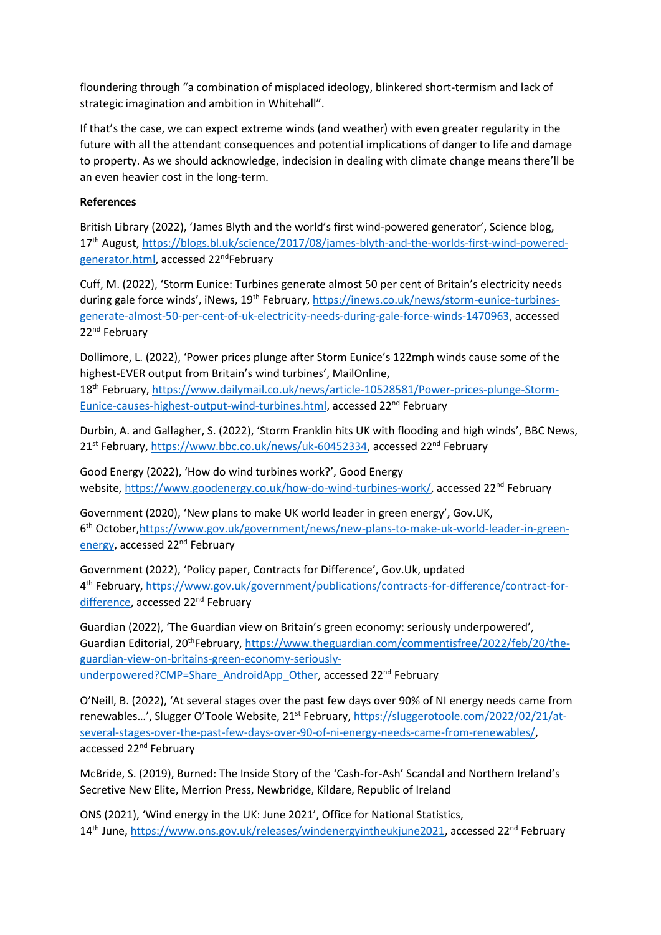floundering through "a combination of misplaced ideology, blinkered short-termism and lack of strategic imagination and ambition in Whitehall".

If that's the case, we can expect extreme winds (and weather) with even greater regularity in the future with all the attendant consequences and potential implications of danger to life and damage to property. As we should acknowledge, indecision in dealing with climate change means there'll be an even heavier cost in the long-term.

## **References**

British Library (2022), 'James Blyth and the world's first wind-powered generator', Science blog, 17<sup>th</sup> August, [https://blogs.bl.uk/science/2017/08/james-blyth-and-the-worlds-first-wind-powered](https://blogs.bl.uk/science/2017/08/james-blyth-and-the-worlds-first-wind-powered-generator.html)[generator.html,](https://blogs.bl.uk/science/2017/08/james-blyth-and-the-worlds-first-wind-powered-generator.html) accessed 22<sup>nd</sup>February

Cuff, M. (2022), 'Storm Eunice: Turbines generate almost 50 per cent of Britain's electricity needs during gale force winds', iNews, 19<sup>th</sup> February, [https://inews.co.uk/news/storm-eunice-turbines](https://inews.co.uk/news/storm-eunice-turbines-generate-almost-50-per-cent-of-uk-electricity-needs-during-gale-force-winds-1470963)[generate-almost-50-per-cent-of-uk-electricity-needs-during-gale-force-winds-1470963,](https://inews.co.uk/news/storm-eunice-turbines-generate-almost-50-per-cent-of-uk-electricity-needs-during-gale-force-winds-1470963) accessed 22<sup>nd</sup> February

Dollimore, L. (2022), 'Power prices plunge after Storm Eunice's 122mph winds cause some of the highest-EVER output from Britain's wind turbines', MailOnline,

18th February, [https://www.dailymail.co.uk/news/article-10528581/Power-prices-plunge-Storm-](https://www.dailymail.co.uk/news/article-10528581/Power-prices-plunge-Storm-Eunice-causes-highest-output-wind-turbines.html)[Eunice-causes-highest-output-wind-turbines.html,](https://www.dailymail.co.uk/news/article-10528581/Power-prices-plunge-Storm-Eunice-causes-highest-output-wind-turbines.html) accessed 22<sup>nd</sup> February

Durbin, A. and Gallagher, S. (2022), 'Storm Franklin hits UK with flooding and high winds', BBC News, 21<sup>st</sup> February, [https://www.bbc.co.uk/news/uk-60452334,](https://www.bbc.co.uk/news/uk-60452334) accessed 22<sup>nd</sup> February

Good Energy (2022), 'How do wind turbines work?', Good Energy website, [https://www.goodenergy.co.uk/how-do-wind-turbines-work/,](https://www.goodenergy.co.uk/how-do-wind-turbines-work/) accessed 22<sup>nd</sup> February

Government (2020), 'New plans to make UK world leader in green energy', Gov.UK, 6<sup>th</sup> October, https://www.gov.uk/government/news/new-plans-to-make-uk-world-leader-in-green[energy,](https://www.gov.uk/government/news/new-plans-to-make-uk-world-leader-in-green-energy) accessed 22<sup>nd</sup> February

Government (2022), 'Policy paper, Contracts for Difference', Gov.Uk, updated 4<sup>th</sup> February, [https://www.gov.uk/government/publications/contracts-for-difference/contract-for](https://www.gov.uk/government/publications/contracts-for-difference/contract-for-difference)[difference,](https://www.gov.uk/government/publications/contracts-for-difference/contract-for-difference) accessed 22<sup>nd</sup> February

Guardian (2022), 'The Guardian view on Britain's green economy: seriously underpowered', Guardian Editorial, 20<sup>th</sup>February, [https://www.theguardian.com/commentisfree/2022/feb/20/the](https://www.theguardian.com/commentisfree/2022/feb/20/the-guardian-view-on-britains-green-economy-seriously-underpowered?CMP=Share_AndroidApp_Other)[guardian-view-on-britains-green-economy-seriously](https://www.theguardian.com/commentisfree/2022/feb/20/the-guardian-view-on-britains-green-economy-seriously-underpowered?CMP=Share_AndroidApp_Other)[underpowered?CMP=Share\\_AndroidApp\\_Other,](https://www.theguardian.com/commentisfree/2022/feb/20/the-guardian-view-on-britains-green-economy-seriously-underpowered?CMP=Share_AndroidApp_Other) accessed 22<sup>nd</sup> February

O'Neill, B. (2022), 'At several stages over the past few days over 90% of NI energy needs came from renewables...', Slugger O'Toole Website, 21<sup>st</sup> February, [https://sluggerotoole.com/2022/02/21/at](https://sluggerotoole.com/2022/02/21/at-several-stages-over-the-past-few-days-over-90-of-ni-energy-needs-came-from-renewables/)[several-stages-over-the-past-few-days-over-90-of-ni-energy-needs-came-from-renewables/,](https://sluggerotoole.com/2022/02/21/at-several-stages-over-the-past-few-days-over-90-of-ni-energy-needs-came-from-renewables/) accessed 22<sup>nd</sup> February

McBride, S. (2019), Burned: The Inside Story of the 'Cash-for-Ash' Scandal and Northern Ireland's Secretive New Elite, Merrion Press, Newbridge, Kildare, Republic of Ireland

ONS (2021), 'Wind energy in the UK: June 2021', Office for National Statistics, 14<sup>th</sup> June, [https://www.ons.gov.uk/releases/windenergyintheukjune2021,](https://www.ons.gov.uk/releases/windenergyintheukjune2021) accessed 22<sup>nd</sup> February